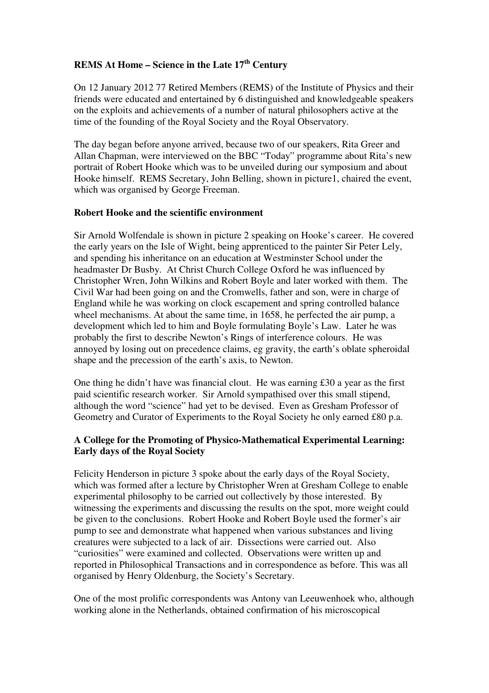# **REMS At Home – Science in the Late 17th Century**

On 12 January 2012 77 Retired Members (REMS) of the Institute of Physics and their friends were educated and entertained by 6 distinguished and knowledgeable speakers on the exploits and achievements of a number of natural philosophers active at the time of the founding of the Royal Society and the Royal Observatory.

The day began before anyone arrived, because two of our speakers, Rita Greer and Allan Chapman, were interviewed on the BBC "Today" programme about Rita's new portrait of Robert Hooke which was to be unveiled during our symposium and about Hooke himself. REMS Secretary, John Belling, shown in picture1, chaired the event, which was organised by George Freeman.

#### **Robert Hooke and the scientific environment**

Sir Arnold Wolfendale is shown in picture 2 speaking on Hooke's career. He covered the early years on the Isle of Wight, being apprenticed to the painter Sir Peter Lely, and spending his inheritance on an education at Westminster School under the headmaster Dr Busby. At Christ Church College Oxford he was influenced by Christopher Wren, John Wilkins and Robert Boyle and later worked with them. The Civil War had been going on and the Cromwells, father and son, were in charge of England while he was working on clock escapement and spring controlled balance wheel mechanisms. At about the same time, in 1658, he perfected the air pump, a development which led to him and Boyle formulating Boyle's Law. Later he was probably the first to describe Newton's Rings of interference colours. He was annoyed by losing out on precedence claims, eg gravity, the earth's oblate spheroidal shape and the precession of the earth's axis, to Newton.

One thing he didn't have was financial clout. He was earning £30 a year as the first paid scientific research worker. Sir Arnold sympathised over this small stipend, although the word "science" had yet to be devised. Even as Gresham Professor of Geometry and Curator of Experiments to the Royal Society he only earned £80 p.a.

### **A College for the Promoting of Physico-Mathematical Experimental Learning: Early days of the Royal Society**

Felicity Henderson in picture 3 spoke about the early days of the Royal Society, which was formed after a lecture by Christopher Wren at Gresham College to enable experimental philosophy to be carried out collectively by those interested. By witnessing the experiments and discussing the results on the spot, more weight could be given to the conclusions. Robert Hooke and Robert Boyle used the former's air pump to see and demonstrate what happened when various substances and living creatures were subjected to a lack of air. Dissections were carried out. Also "curiosities" were examined and collected. Observations were written up and reported in Philosophical Transactions and in correspondence as before. This was all organised by Henry Oldenburg, the Society's Secretary.

One of the most prolific correspondents was Antony van Leeuwenhoek who, although working alone in the Netherlands, obtained confirmation of his microscopical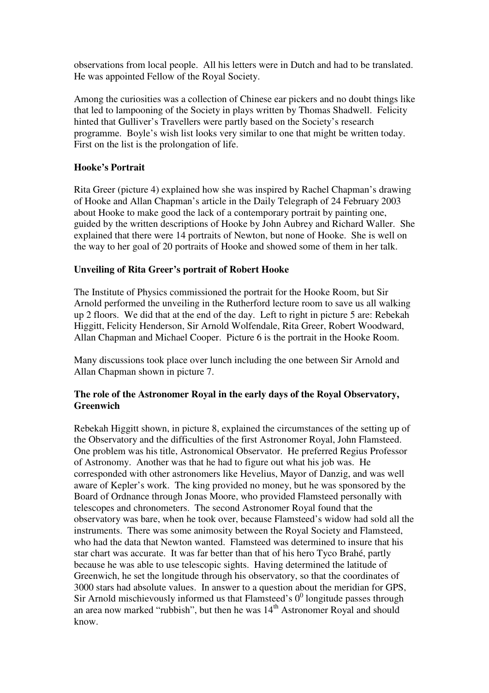observations from local people. All his letters were in Dutch and had to be translated. He was appointed Fellow of the Royal Society.

Among the curiosities was a collection of Chinese ear pickers and no doubt things like that led to lampooning of the Society in plays written by Thomas Shadwell. Felicity hinted that Gulliver's Travellers were partly based on the Society's research programme. Boyle's wish list looks very similar to one that might be written today. First on the list is the prolongation of life.

## **Hooke's Portrait**

Rita Greer (picture 4) explained how she was inspired by Rachel Chapman's drawing of Hooke and Allan Chapman's article in the Daily Telegraph of 24 February 2003 about Hooke to make good the lack of a contemporary portrait by painting one, guided by the written descriptions of Hooke by John Aubrey and Richard Waller. She explained that there were 14 portraits of Newton, but none of Hooke. She is well on the way to her goal of 20 portraits of Hooke and showed some of them in her talk.

#### **Unveiling of Rita Greer's portrait of Robert Hooke**

The Institute of Physics commissioned the portrait for the Hooke Room, but Sir Arnold performed the unveiling in the Rutherford lecture room to save us all walking up 2 floors. We did that at the end of the day. Left to right in picture 5 are: Rebekah Higgitt, Felicity Henderson, Sir Arnold Wolfendale, Rita Greer, Robert Woodward, Allan Chapman and Michael Cooper. Picture 6 is the portrait in the Hooke Room.

Many discussions took place over lunch including the one between Sir Arnold and Allan Chapman shown in picture 7.

#### **The role of the Astronomer Royal in the early days of the Royal Observatory, Greenwich**

Rebekah Higgitt shown, in picture 8, explained the circumstances of the setting up of the Observatory and the difficulties of the first Astronomer Royal, John Flamsteed. One problem was his title, Astronomical Observator. He preferred Regius Professor of Astronomy. Another was that he had to figure out what his job was. He corresponded with other astronomers like Hevelius, Mayor of Danzig, and was well aware of Kepler's work. The king provided no money, but he was sponsored by the Board of Ordnance through Jonas Moore, who provided Flamsteed personally with telescopes and chronometers. The second Astronomer Royal found that the observatory was bare, when he took over, because Flamsteed's widow had sold all the instruments. There was some animosity between the Royal Society and Flamsteed, who had the data that Newton wanted. Flamsteed was determined to insure that his star chart was accurate. It was far better than that of his hero Tyco Brahé, partly because he was able to use telescopic sights. Having determined the latitude of Greenwich, he set the longitude through his observatory, so that the coordinates of 3000 stars had absolute values. In answer to a question about the meridian for GPS, Sir Arnold mischievously informed us that Flamsteed's  $0^0$  longitude passes through an area now marked "rubbish", but then he was  $14<sup>th</sup>$  Astronomer Royal and should know.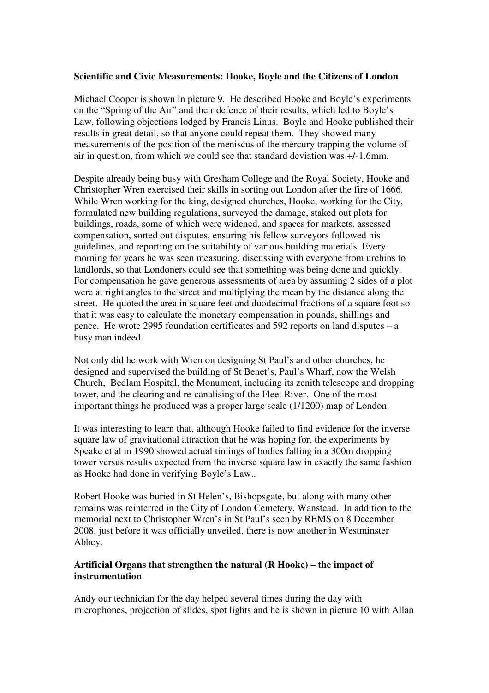#### **Scientific and Civic Measurements: Hooke, Boyle and the Citizens of London**

Michael Cooper is shown in picture 9. He described Hooke and Boyle's experiments on the "Spring of the Air" and their defence of their results, which led to Boyle's Law, following objections lodged by Francis Linus. Boyle and Hooke published their results in great detail, so that anyone could repeat them. They showed many measurements of the position of the meniscus of the mercury trapping the volume of air in question, from which we could see that standard deviation was +/-1.6mm.

Despite already being busy with Gresham College and the Royal Society, Hooke and Christopher Wren exercised their skills in sorting out London after the fire of 1666. While Wren working for the king, designed churches, Hooke, working for the City, formulated new building regulations, surveyed the damage, staked out plots for buildings, roads, some of which were widened, and spaces for markets, assessed compensation, sorted out disputes, ensuring his fellow surveyors followed his guidelines, and reporting on the suitability of various building materials. Every morning for years he was seen measuring, discussing with everyone from urchins to landlords, so that Londoners could see that something was being done and quickly. For compensation he gave generous assessments of area by assuming 2 sides of a plot were at right angles to the street and multiplying the mean by the distance along the street. He quoted the area in square feet and duodecimal fractions of a square foot so that it was easy to calculate the monetary compensation in pounds, shillings and pence. He wrote 2995 foundation certificates and 592 reports on land disputes – a busy man indeed.

Not only did he work with Wren on designing St Paul's and other churches, he designed and supervised the building of St Benet's, Paul's Wharf, now the Welsh Church, Bedlam Hospital, the Monument, including its zenith telescope and dropping tower, and the clearing and re-canalising of the Fleet River. One of the most important things he produced was a proper large scale (1/1200) map of London.

It was interesting to learn that, although Hooke failed to find evidence for the inverse square law of gravitational attraction that he was hoping for, the experiments by Speake et al in 1990 showed actual timings of bodies falling in a 300m dropping tower versus results expected from the inverse square law in exactly the same fashion as Hooke had done in verifying Boyle's Law..

Robert Hooke was buried in St Helen's, Bishopsgate, but along with many other remains was reinterred in the City of London Cemetery, Wanstead. In addition to the memorial next to Christopher Wren's in St Paul's seen by REMS on 8 December 2008, just before it was officially unveiled, there is now another in Westminster Abbey.

#### **Artificial Organs that strengthen the natural (R Hooke) – the impact of instrumentation**

Andy our technician for the day helped several times during the day with microphones, projection of slides, spot lights and he is shown in picture 10 with Allan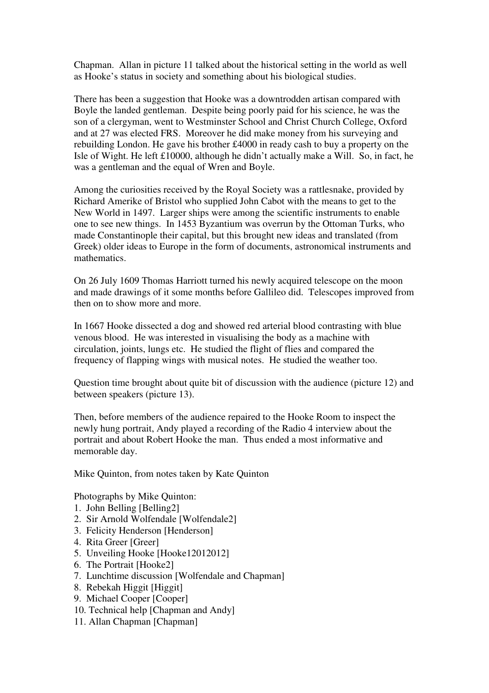Chapman. Allan in picture 11 talked about the historical setting in the world as well as Hooke's status in society and something about his biological studies.

There has been a suggestion that Hooke was a downtrodden artisan compared with Boyle the landed gentleman. Despite being poorly paid for his science, he was the son of a clergyman, went to Westminster School and Christ Church College, Oxford and at 27 was elected FRS. Moreover he did make money from his surveying and rebuilding London. He gave his brother £4000 in ready cash to buy a property on the Isle of Wight. He left £10000, although he didn't actually make a Will. So, in fact, he was a gentleman and the equal of Wren and Boyle.

Among the curiosities received by the Royal Society was a rattlesnake, provided by Richard Amerike of Bristol who supplied John Cabot with the means to get to the New World in 1497. Larger ships were among the scientific instruments to enable one to see new things. In 1453 Byzantium was overrun by the Ottoman Turks, who made Constantinople their capital, but this brought new ideas and translated (from Greek) older ideas to Europe in the form of documents, astronomical instruments and mathematics.

On 26 July 1609 Thomas Harriott turned his newly acquired telescope on the moon and made drawings of it some months before Gallileo did. Telescopes improved from then on to show more and more.

In 1667 Hooke dissected a dog and showed red arterial blood contrasting with blue venous blood. He was interested in visualising the body as a machine with circulation, joints, lungs etc. He studied the flight of flies and compared the frequency of flapping wings with musical notes. He studied the weather too.

Question time brought about quite bit of discussion with the audience (picture 12) and between speakers (picture 13).

Then, before members of the audience repaired to the Hooke Room to inspect the newly hung portrait, Andy played a recording of the Radio 4 interview about the portrait and about Robert Hooke the man. Thus ended a most informative and memorable day.

Mike Quinton, from notes taken by Kate Quinton

Photographs by Mike Quinton:

- 1. John Belling [Belling2]
- 2. Sir Arnold Wolfendale [Wolfendale2]
- 3. Felicity Henderson [Henderson]
- 4. Rita Greer [Greer]
- 5. Unveiling Hooke [Hooke12012012]
- 6. The Portrait [Hooke2]
- 7. Lunchtime discussion [Wolfendale and Chapman]
- 8. Rebekah Higgit [Higgit]
- 9. Michael Cooper [Cooper]
- 10. Technical help [Chapman and Andy]
- 11. Allan Chapman [Chapman]